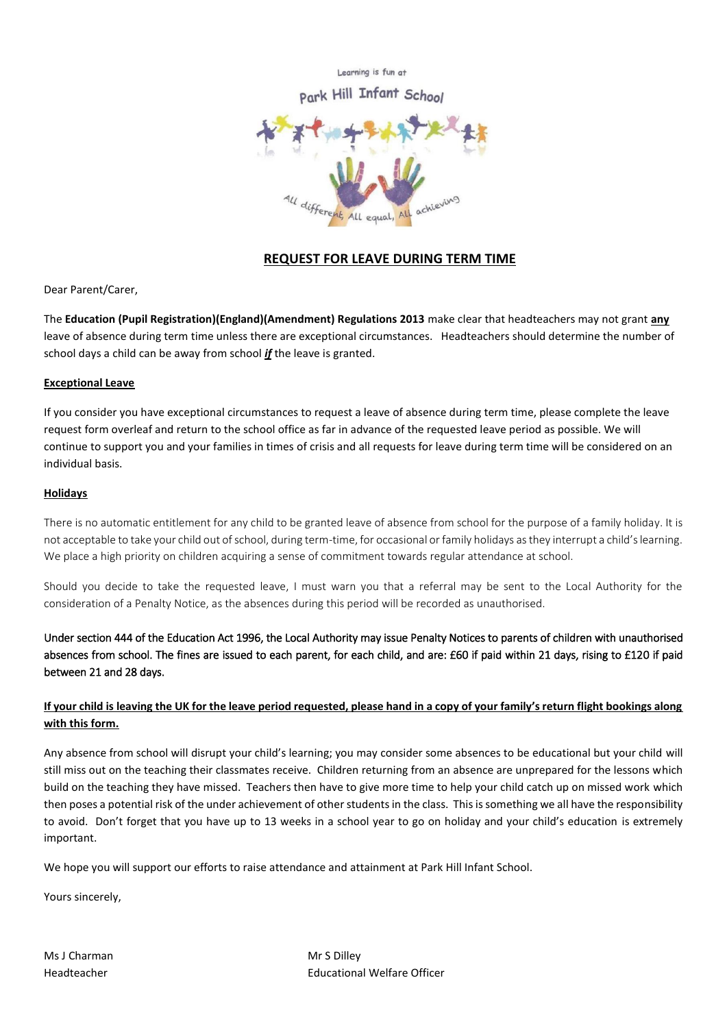Learning is fun at

Infant School



## **REQUEST FOR LEAVE DURING TERM TIME**

Dear Parent/Carer,

The **Education (Pupil Registration)(England)(Amendment) Regulations 2013** make clear that headteachers may not grant **any** leave of absence during term time unless there are exceptional circumstances. Headteachers should determine the number of school days a child can be away from school *if* the leave is granted.

#### **Exceptional Leave**

If you consider you have exceptional circumstances to request a leave of absence during term time, please complete the leave request form overleaf and return to the school office as far in advance of the requested leave period as possible. We will continue to support you and your families in times of crisis and all requests for leave during term time will be considered on an individual basis.

#### **Holidays**

There is no automatic entitlement for any child to be granted leave of absence from school for the purpose of a family holiday. It is not acceptable to take your child out of school, during term-time, for occasional or family holidays as they interrupt a child's learning. We place a high priority on children acquiring a sense of commitment towards regular attendance at school.

Should you decide to take the requested leave, I must warn you that a referral may be sent to the Local Authority for the consideration of a Penalty Notice, as the absences during this period will be recorded as unauthorised.

Under section 444 of the Education Act 1996, the Local Authority may issue Penalty Notices to parents of children with unauthorised absences from school. The fines are issued to each parent, for each child, and are: £60 if paid within 21 days, rising to £120 if paid between 21 and 28 days.

### **If your child is leaving the UK for the leave period requested, please hand in a copy of your family's return flight bookings along with this form.**

Any absence from school will disrupt your child's learning; you may consider some absences to be educational but your child will still miss out on the teaching their classmates receive. Children returning from an absence are unprepared for the lessons which build on the teaching they have missed. Teachers then have to give more time to help your child catch up on missed work which then poses a potential risk of the under achievement of other students in the class. This is something we all have the responsibility to avoid. Don't forget that you have up to 13 weeks in a school year to go on holiday and your child's education is extremely important.

We hope you will support our efforts to raise attendance and attainment at Park Hill Infant School.

Yours sincerely,

Ms J Charman Mr S Dilley

Headteacher Educational Welfare Officer